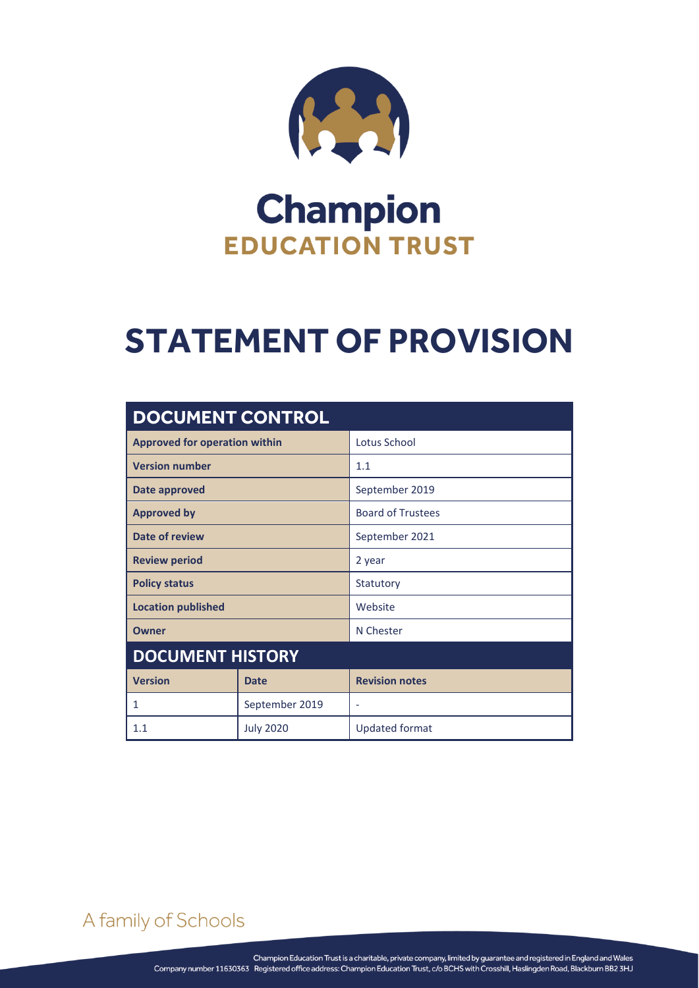

## **Champion EDUCATION TRUST**

# **STATEMENT OF PROVISION**

| <b>DOCUMENT CONTROL</b>              |                  |                          |
|--------------------------------------|------------------|--------------------------|
| <b>Approved for operation within</b> |                  | Lotus School             |
| <b>Version number</b>                |                  | 1.1                      |
| Date approved                        |                  | September 2019           |
| <b>Approved by</b>                   |                  | <b>Board of Trustees</b> |
| Date of review                       |                  | September 2021           |
| <b>Review period</b>                 |                  | 2 year                   |
| <b>Policy status</b>                 |                  | Statutory                |
| <b>Location published</b>            |                  | Website                  |
| Owner                                |                  | N Chester                |
| <b>DOCUMENT HISTORY</b>              |                  |                          |
| <b>Version</b>                       | <b>Date</b>      | <b>Revision notes</b>    |
| 1                                    | September 2019   | ٠                        |
| 1.1                                  | <b>July 2020</b> | <b>Updated format</b>    |

A family of Schools

STATEMENT OF PROVISION Page **0** of **2**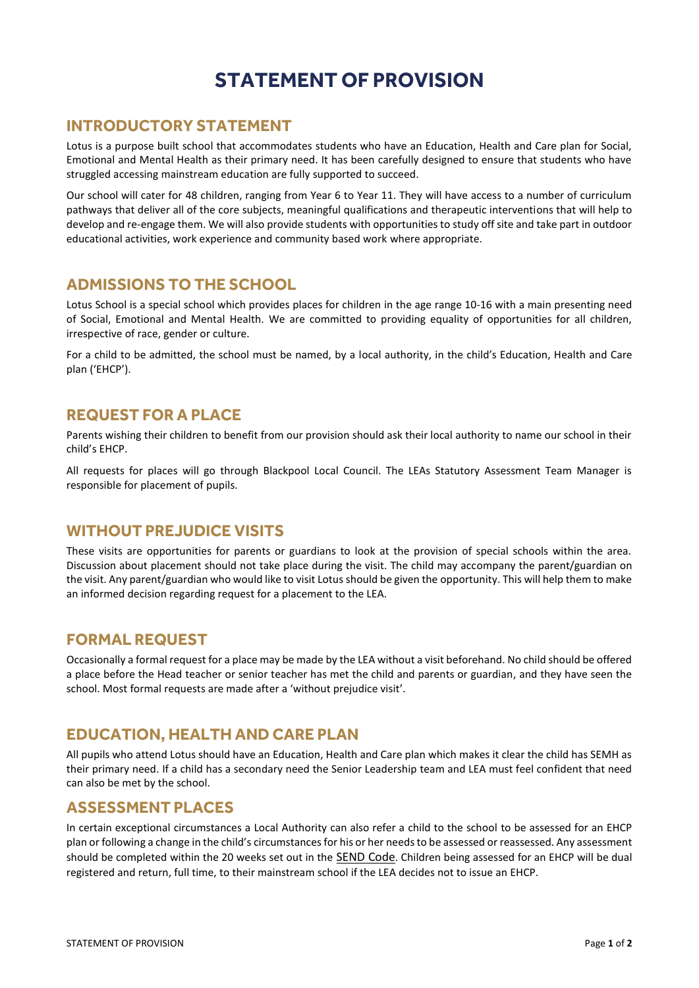### **STATEMENT OF PROVISION**

#### **INTRODUCTORY STATEMENT**

Lotus is a purpose built school that accommodates students who have an Education, Health and Care plan for Social, Emotional and Mental Health as their primary need. It has been carefully designed to ensure that students who have struggled accessing mainstream education are fully supported to succeed.

Our school will cater for 48 children, ranging from Year 6 to Year 11. They will have access to a number of curriculum pathways that deliver all of the core subjects, meaningful qualifications and therapeutic interventions that will help to develop and re-engage them. We will also provide students with opportunities to study off site and take part in outdoor educational activities, work experience and community based work where appropriate.

#### **ADMISSIONS TO THE SCHOOL**

Lotus School is a special school which provides places for children in the age range 10-16 with a main presenting need of Social, Emotional and Mental Health. We are committed to providing equality of opportunities for all children, irrespective of race, gender or culture.

For a child to be admitted, the school must be named, by a local authority, in the child's Education, Health and Care plan ('EHCP').

#### **REQUEST FOR A PLACE**

Parents wishing their children to benefit from our provision should ask their local authority to name our school in their child's EHCP.

All requests for places will go through Blackpool Local Council. The LEAs Statutory Assessment Team Manager is responsible for placement of pupils.

#### **WITHOUT PREJUDICE VISITS**

These visits are opportunities for parents or guardians to look at the provision of special schools within the area. Discussion about placement should not take place during the visit. The child may accompany the parent/guardian on the visit. Any parent/guardian who would like to visit Lotus should be given the opportunity. This will help them to make an informed decision regarding request for a placement to the LEA.

#### **FORMAL REQUEST**

Occasionally a formal request for a place may be made by the LEA without a visit beforehand. No child should be offered a place before the Head teacher or senior teacher has met the child and parents or guardian, and they have seen the school. Most formal requests are made after a 'without prejudice visit'.

#### **EDUCATION, HEALTH AND CARE PLAN**

All pupils who attend Lotus should have an Education, Health and Care plan which makes it clear the child has SEMH as their primary need. If a child has a secondary need the Senior Leadership team and LEA must feel confident that need can also be met by the school.

#### **ASSESSMENT PLACES**

In certain exceptional circumstances a Local Authority can also refer a child to the school to be assessed for an EHCP plan or following a change in the child's circumstances for his or her needs to be assessed or reassessed. Any assessment should be completed within the 20 weeks set out in the **[SEND Code](https://www.gov.uk/government/uploads/system/uploads/attachment_data/file/398815/SEND_Code_of_Practice_January_2015.pdf)**. Children being assessed for an EHCP will be dual registered and return, full time, to their mainstream school if the LEA decides not to issue an EHCP.